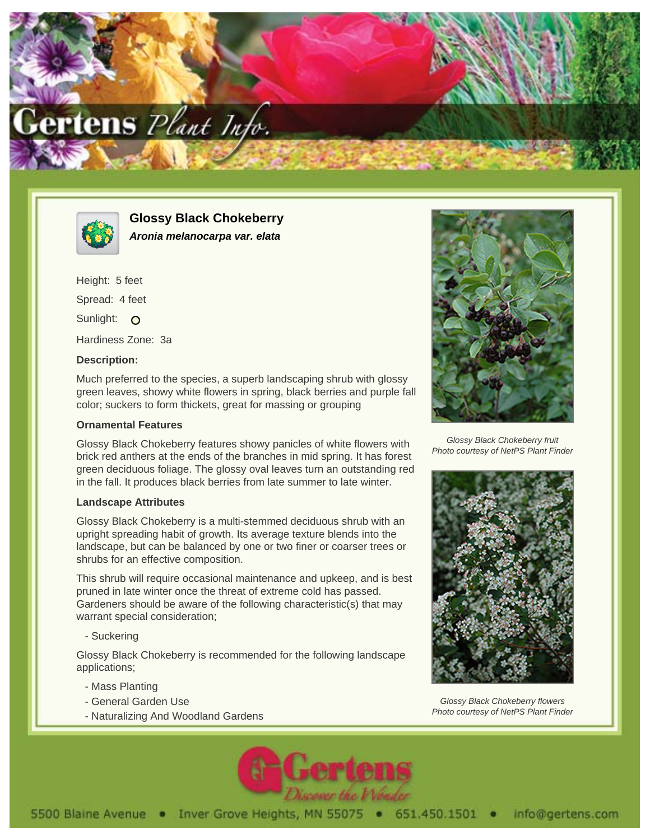



**Glossy Black Chokeberry Aronia melanocarpa var. elata**

Height: 5 feet Spread: 4 feet Sunlight: O Hardiness Zone: 3a

## **Description:**

Much preferred to the species, a superb landscaping shrub with glossy green leaves, showy white flowers in spring, black berries and purple fall color; suckers to form thickets, great for massing or grouping

## **Ornamental Features**

Glossy Black Chokeberry features showy panicles of white flowers with brick red anthers at the ends of the branches in mid spring. It has forest green deciduous foliage. The glossy oval leaves turn an outstanding red in the fall. It produces black berries from late summer to late winter.

## **Landscape Attributes**

Glossy Black Chokeberry is a multi-stemmed deciduous shrub with an upright spreading habit of growth. Its average texture blends into the landscape, but can be balanced by one or two finer or coarser trees or shrubs for an effective composition.

This shrub will require occasional maintenance and upkeep, and is best pruned in late winter once the threat of extreme cold has passed. Gardeners should be aware of the following characteristic(s) that may warrant special consideration;

- Suckering

Glossy Black Chokeberry is recommended for the following landscape applications;

- Mass Planting
- General Garden Use
- Naturalizing And Woodland Gardens



Glossy Black Chokeberry fruit Photo courtesy of NetPS Plant Finder



Glossy Black Chokeberry flowers Photo courtesy of NetPS Plant Finder